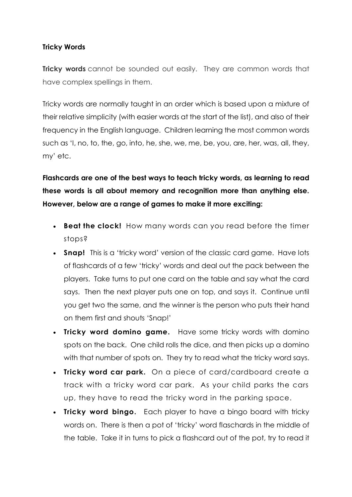## **Tricky Words**

**Tricky words** cannot be sounded out easily. They are common words that have complex spellings in them.

Tricky words are normally taught in an order which is based upon a mixture of their relative simplicity (with easier words at the start of the list), and also of their frequency in the English language. Children learning the most common words such as 'I, no, to, the, go, into, he, she, we, me, be, you, are, her, was, all, they, my' etc.

**Flashcards are one of the best ways to teach tricky words, as learning to read these words is all about memory and recognition more than anything else. However, below are a range of games to make it more exciting:**

- **Beat the clock!** How many words can you read before the timer stops?
- **Snap!** This is a 'tricky word' version of the classic card game. Have lots of flashcards of a few 'tricky' words and deal out the pack between the players. Take turns to put one card on the table and say what the card says. Then the next player puts one on top, and says it. Continue until you get two the same, and the winner is the person who puts their hand on them first and shouts 'Snap!'
- **Tricky word domino game.** Have some tricky words with domino spots on the back. One child rolls the dice, and then picks up a domino with that number of spots on. They try to read what the tricky word says.
- **Tricky word car park.** On a piece of card/cardboard create a track with a tricky word car park. As your child parks the cars up, they have to read the tricky word in the parking space.
- **Tricky word bingo.** Each player to have a bingo board with tricky words on. There is then a pot of 'tricky' word flaschards in the middle of the table. Take it in turns to pick a flashcard out of the pot, try to read it